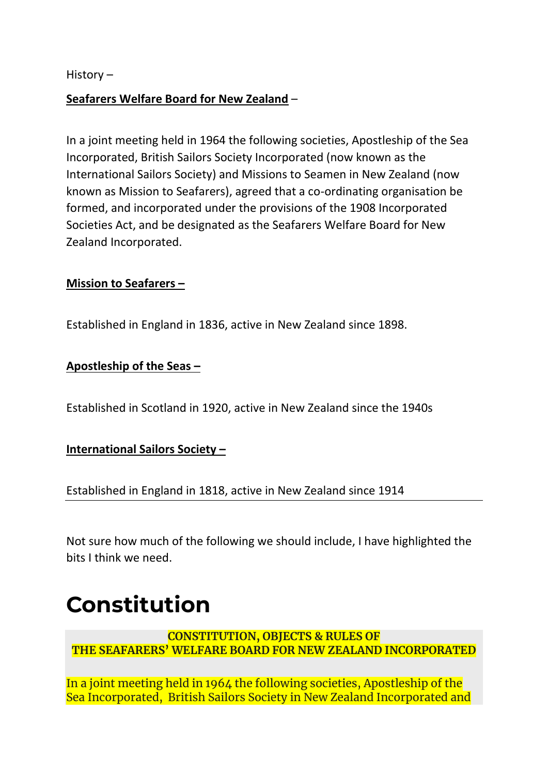History –

#### **Seafarers Welfare Board for New Zealand** –

In a joint meeting held in 1964 the following societies, Apostleship of the Sea Incorporated, British Sailors Society Incorporated (now known as the International Sailors Society) and Missions to Seamen in New Zealand (now known as Mission to Seafarers), agreed that a co-ordinating organisation be formed, and incorporated under the provisions of the 1908 Incorporated Societies Act, and be designated as the Seafarers Welfare Board for New Zealand Incorporated.

#### **Mission to Seafarers –**

Established in England in 1836, active in New Zealand since 1898.

#### **Apostleship of the Seas –**

Established in Scotland in 1920, active in New Zealand since the 1940s

#### **International Sailors Society –**

Established in England in 1818, active in New Zealand since 1914

Not sure how much of the following we should include, I have highlighted the bits I think we need.

# **Constitution**

**CONSTITUTION, OBJECTS & RULES OF THE SEAFARERS' WELFARE BOARD FOR NEW ZEALAND INCORPORATED**

In a joint meeting held in 1964 the following societies, Apostleship of the Sea Incorporated, British Sailors Society in New Zealand Incorporated and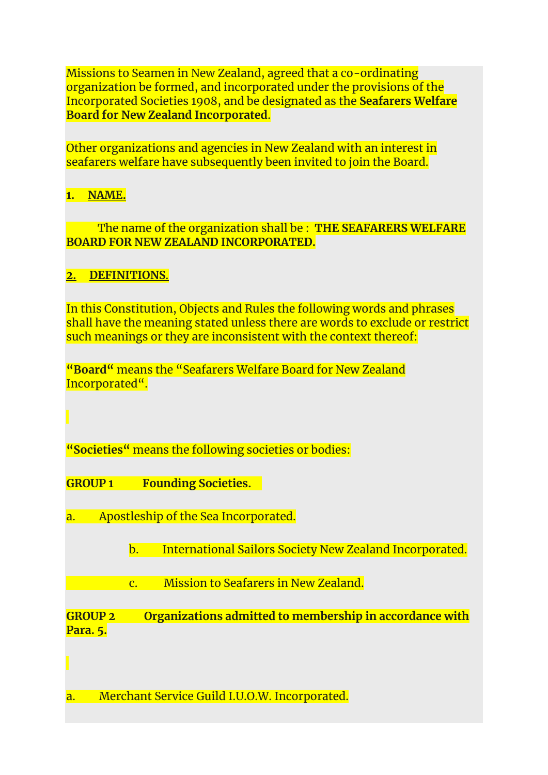Missions to Seamen in New Zealand, agreed that a co-ordinating organization be formed, and incorporated under the provisions of the Incorporated Societies 1908, and be designated as the **Seafarers Welfare Board for New Zealand Incorporated**.

Other organizations and agencies in New Zealand with an interest in seafarers welfare have subsequently been invited to join the Board.

# **1. NAME.**

 The name of the organization shall be : **THE SEAFARERS WELFARE BOARD FOR NEW ZEALAND INCORPORATED.**

# **2. DEFINITIONS**.

In this Constitution, Objects and Rules the following words and phrases shall have the meaning stated unless there are words to exclude or restrict such meanings or they are inconsistent with the context thereof:

**"Board"** means the "Seafarers Welfare Board for New Zealand Incorporated".

**"Societies"** means the following societies or bodies:

**GROUP 1 Founding Societies.**

- a. Apostleship of the Sea Incorporated.
	- b. International Sailors Society New Zealand Incorporated.

c. Mission to Seafarers in New Zealand.

**GROUP 2 Organizations admitted to membership in accordance with Para. 5.**

a. Merchant Service Guild I.U.O.W. Incorporated.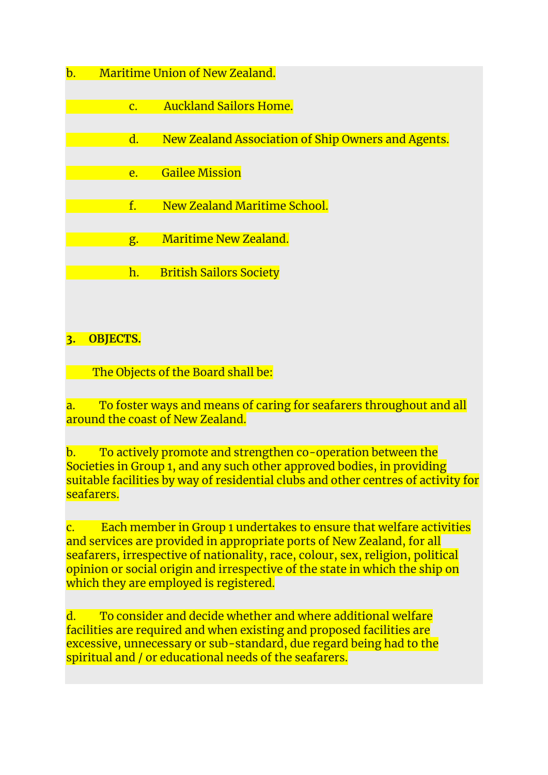- b. Maritime Union of New Zealand.
	- c. Auckland Sailors Home.
	- d. New Zealand Association of Ship Owners and Agents.
		- e. Gailee Mission
	- f. New Zealand Maritime School.
		- g. Maritime New Zealand.
		- h. British Sailors Society

# **3. OBJECTS.**

The Objects of the Board shall be:

a. To foster ways and means of caring for seafarers throughout and all around the coast of New Zealand.

b. To actively promote and strengthen co-operation between the Societies in Group 1, and any such other approved bodies, in providing suitable facilities by way of residential clubs and other centres of activity for seafarers.

c. Each member in Group 1 undertakes to ensure that welfare activities and services are provided in appropriate ports of New Zealand, for all seafarers, irrespective of nationality, race, colour, sex, religion, political opinion or social origin and irrespective of the state in which the ship on which they are employed is registered.

d. To consider and decide whether and where additional welfare facilities are required and when existing and proposed facilities are excessive, unnecessary or sub-standard, due regard being had to the spiritual and / or educational needs of the seafarers.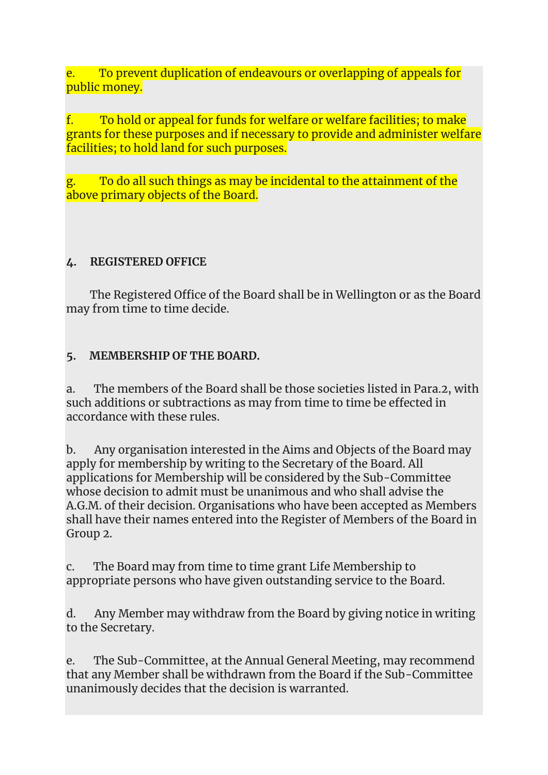e. To prevent duplication of endeavours or overlapping of appeals for public money.

f. To hold or appeal for funds for welfare or welfare facilities; to make grants for these purposes and if necessary to provide and administer welfare facilities; to hold land for such purposes.

g. To do all such things as may be incidental to the attainment of the above primary objects of the Board.

#### **4. REGISTERED OFFICE**

The Registered Office of the Board shall be in Wellington or as the Board may from time to time decide.

#### **5. MEMBERSHIP OF THE BOARD.**

a. The members of the Board shall be those societies listed in Para.2, with such additions or subtractions as may from time to time be effected in accordance with these rules.

b. Any organisation interested in the Aims and Objects of the Board may apply for membership by writing to the Secretary of the Board. All applications for Membership will be considered by the Sub-Committee whose decision to admit must be unanimous and who shall advise the A.G.M. of their decision. Organisations who have been accepted as Members shall have their names entered into the Register of Members of the Board in Group 2.

c. The Board may from time to time grant Life Membership to appropriate persons who have given outstanding service to the Board.

d. Any Member may withdraw from the Board by giving notice in writing to the Secretary.

e. The Sub-Committee, at the Annual General Meeting, may recommend that any Member shall be withdrawn from the Board if the Sub-Committee unanimously decides that the decision is warranted.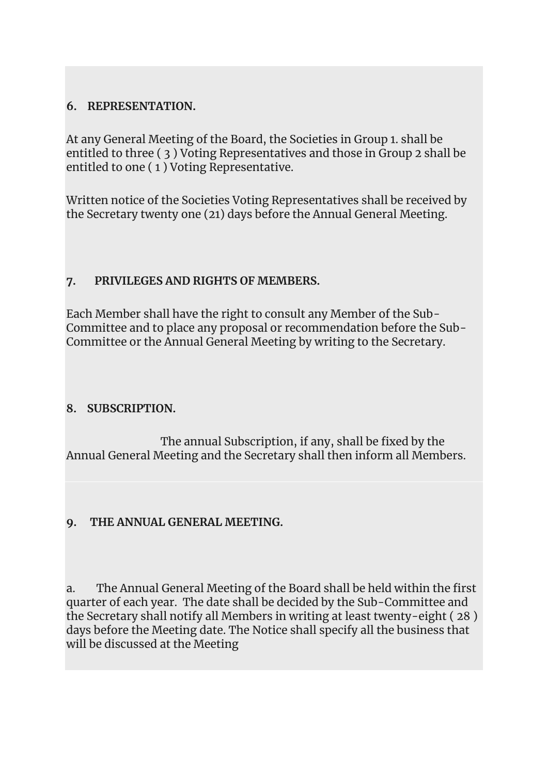# **6. REPRESENTATION.**

At any General Meeting of the Board, the Societies in Group 1. shall be entitled to three ( 3 ) Voting Representatives and those in Group 2 shall be entitled to one ( 1 ) Voting Representative.

Written notice of the Societies Voting Representatives shall be received by the Secretary twenty one (21) days before the Annual General Meeting.

# **7. PRIVILEGES AND RIGHTS OF MEMBERS.**

Each Member shall have the right to consult any Member of the Sub-Committee and to place any proposal or recommendation before the Sub-Committee or the Annual General Meeting by writing to the Secretary.

# **8. SUBSCRIPTION.**

 The annual Subscription, if any, shall be fixed by the Annual General Meeting and the Secretary shall then inform all Members.

#### **9. THE ANNUAL GENERAL MEETING.**

a. The Annual General Meeting of the Board shall be held within the first quarter of each year. The date shall be decided by the Sub-Committee and the Secretary shall notify all Members in writing at least twenty-eight ( 28 ) days before the Meeting date. The Notice shall specify all the business that will be discussed at the Meeting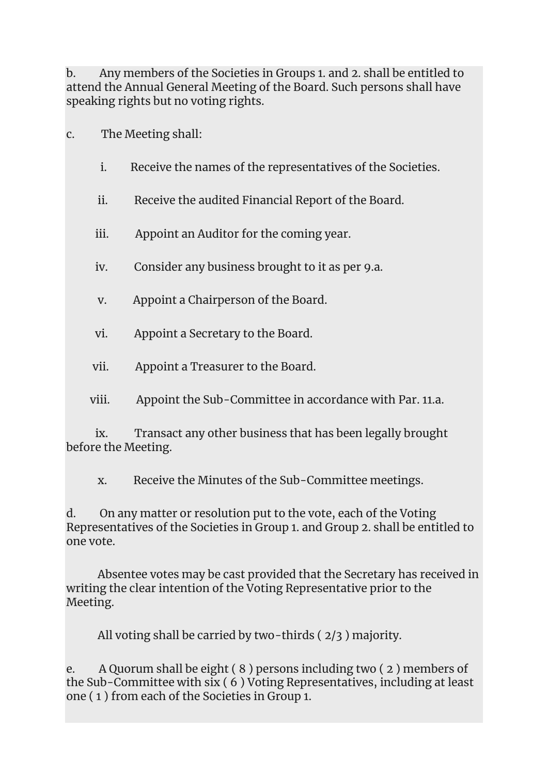b. Any members of the Societies in Groups 1. and 2. shall be entitled to attend the Annual General Meeting of the Board. Such persons shall have speaking rights but no voting rights.

c. The Meeting shall:

- i. Receive the names of the representatives of the Societies.
- ii. Receive the audited Financial Report of the Board.
- iii. Appoint an Auditor for the coming year.
- iv. Consider any business brought to it as per 9.a.
- v. Appoint a Chairperson of the Board.
- vi. Appoint a Secretary to the Board.
- vii. Appoint a Treasurer to the Board.
- viii. Appoint the Sub-Committee in accordance with Par. 11.a.

 ix. Transact any other business that has been legally brought before the Meeting.

x. Receive the Minutes of the Sub-Committee meetings.

d. On any matter or resolution put to the vote, each of the Voting Representatives of the Societies in Group 1. and Group 2. shall be entitled to one vote.

 Absentee votes may be cast provided that the Secretary has received in writing the clear intention of the Voting Representative prior to the Meeting.

All voting shall be carried by two-thirds ( 2/3 ) majority.

e. A Quorum shall be eight ( 8 ) persons including two ( 2 ) members of the Sub-Committee with six ( 6 ) Voting Representatives, including at least one ( 1 ) from each of the Societies in Group 1.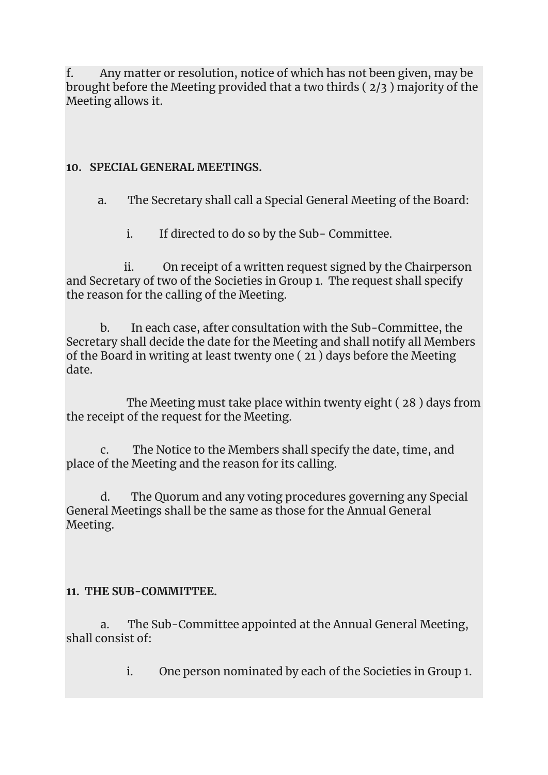f. Any matter or resolution, notice of which has not been given, may be brought before the Meeting provided that a two thirds ( 2/3 ) majority of the Meeting allows it.

#### **10. SPECIAL GENERAL MEETINGS.**

a. The Secretary shall call a Special General Meeting of the Board:

i. If directed to do so by the Sub- Committee.

 ii. On receipt of a written request signed by the Chairperson and Secretary of two of the Societies in Group 1. The request shall specify the reason for the calling of the Meeting.

 b. In each case, after consultation with the Sub-Committee, the Secretary shall decide the date for the Meeting and shall notify all Members of the Board in writing at least twenty one ( 21 ) days before the Meeting date.

 The Meeting must take place within twenty eight ( 28 ) days from the receipt of the request for the Meeting.

 c. The Notice to the Members shall specify the date, time, and place of the Meeting and the reason for its calling.

 d. The Quorum and any voting procedures governing any Special General Meetings shall be the same as those for the Annual General Meeting.

# **11. THE SUB-COMMITTEE.**

 a. The Sub-Committee appointed at the Annual General Meeting, shall consist of:

i. One person nominated by each of the Societies in Group 1.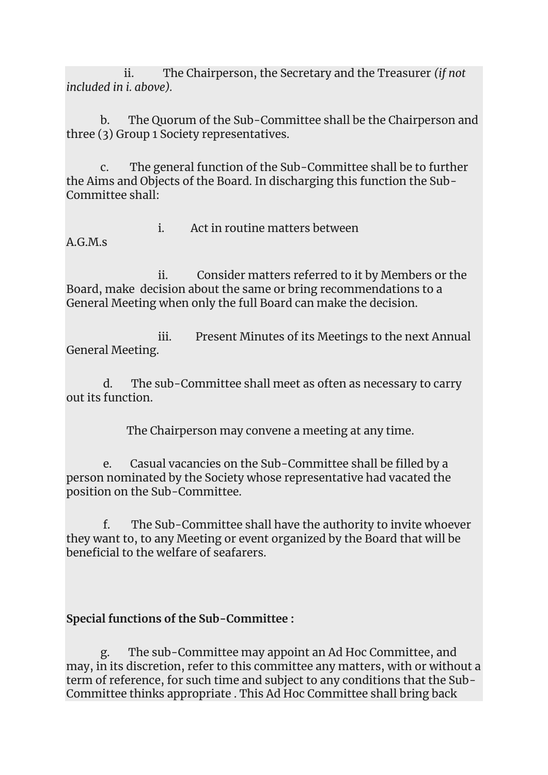ii. The Chairperson, the Secretary and the Treasurer *(if not included in i. above).*

 b. The Quorum of the Sub-Committee shall be the Chairperson and three (3) Group 1 Society representatives.

 c. The general function of the Sub-Committee shall be to further the Aims and Objects of the Board. In discharging this function the Sub-Committee shall:

A.G.M.s

i. Act in routine matters between

 ii. Consider matters referred to it by Members or the Board, make decision about the same or bring recommendations to a General Meeting when only the full Board can make the decision.

 iii. Present Minutes of its Meetings to the next Annual General Meeting.

 d. The sub-Committee shall meet as often as necessary to carry out its function.

The Chairperson may convene a meeting at any time.

 e. Casual vacancies on the Sub-Committee shall be filled by a person nominated by the Society whose representative had vacated the position on the Sub-Committee.

 f. The Sub-Committee shall have the authority to invite whoever they want to, to any Meeting or event organized by the Board that will be beneficial to the welfare of seafarers.

# **Special functions of the Sub-Committee :**

 g. The sub-Committee may appoint an Ad Hoc Committee, and may, in its discretion, refer to this committee any matters, with or without a term of reference, for such time and subject to any conditions that the Sub-Committee thinks appropriate . This Ad Hoc Committee shall bring back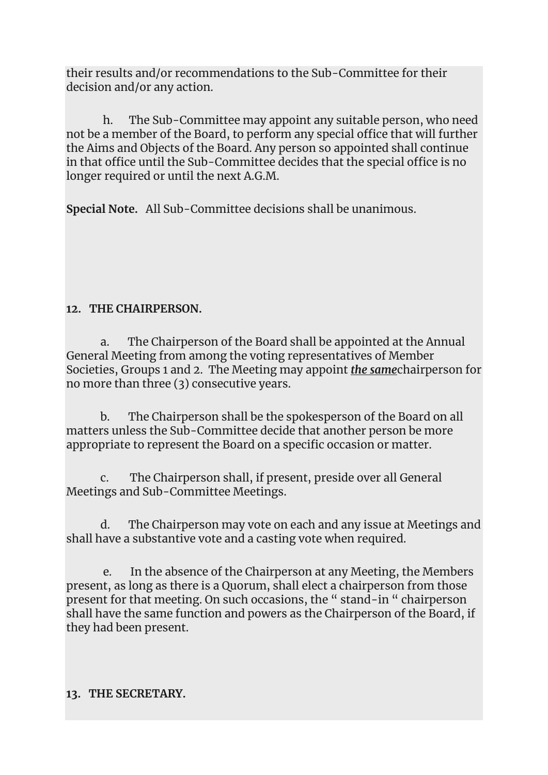their results and/or recommendations to the Sub-Committee for their decision and/or any action.

 h. The Sub-Committee may appoint any suitable person, who need not be a member of the Board, to perform any special office that will further the Aims and Objects of the Board. Any person so appointed shall continue in that office until the Sub-Committee decides that the special office is no longer required or until the next A.G.M.

**Special Note.** All Sub-Committee decisions shall be unanimous.

# **12. THE CHAIRPERSON.**

 a. The Chairperson of the Board shall be appointed at the Annual General Meeting from among the voting representatives of Member Societies, Groups 1 and 2. The Meeting may appoint *the same*chairperson for no more than three (3) consecutive years.

 b. The Chairperson shall be the spokesperson of the Board on all matters unless the Sub-Committee decide that another person be more appropriate to represent the Board on a specific occasion or matter.

 c. The Chairperson shall, if present, preside over all General Meetings and Sub-Committee Meetings.

 d. The Chairperson may vote on each and any issue at Meetings and shall have a substantive vote and a casting vote when required.

 e. In the absence of the Chairperson at any Meeting, the Members present, as long as there is a Quorum, shall elect a chairperson from those present for that meeting. On such occasions, the " stand-in " chairperson shall have the same function and powers as the Chairperson of the Board, if they had been present.

# **13. THE SECRETARY.**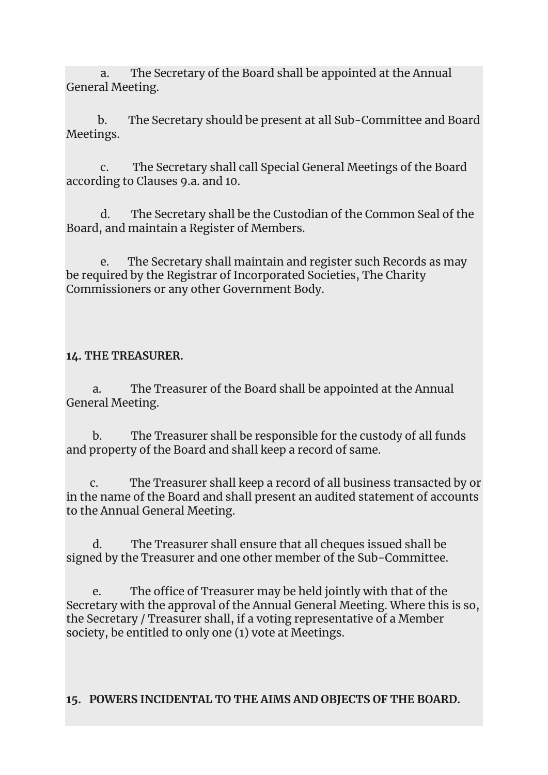a. The Secretary of the Board shall be appointed at the Annual General Meeting.

 b. The Secretary should be present at all Sub-Committee and Board Meetings.

 c. The Secretary shall call Special General Meetings of the Board according to Clauses 9.a. and 10.

 d. The Secretary shall be the Custodian of the Common Seal of the Board, and maintain a Register of Members.

 e. The Secretary shall maintain and register such Records as may be required by the Registrar of Incorporated Societies, The Charity Commissioners or any other Government Body.

#### **14. THE TREASURER.**

 a. The Treasurer of the Board shall be appointed at the Annual General Meeting.

 b. The Treasurer shall be responsible for the custody of all funds and property of the Board and shall keep a record of same.

 c. The Treasurer shall keep a record of all business transacted by or in the name of the Board and shall present an audited statement of accounts to the Annual General Meeting.

 d. The Treasurer shall ensure that all cheques issued shall be signed by the Treasurer and one other member of the Sub-Committee.

 e. The office of Treasurer may be held jointly with that of the Secretary with the approval of the Annual General Meeting. Where this is so, the Secretary / Treasurer shall, if a voting representative of a Member society, be entitled to only one (1) vote at Meetings.

**15. POWERS INCIDENTAL TO THE AIMS AND OBJECTS OF THE BOARD.**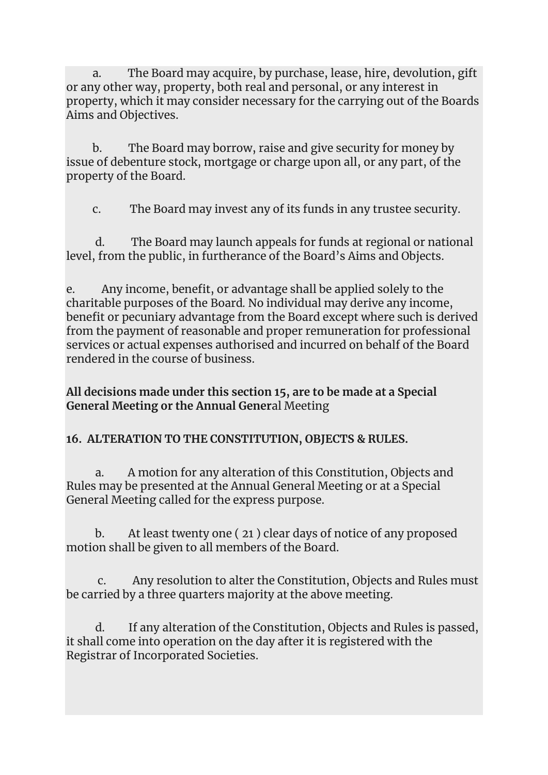a. The Board may acquire, by purchase, lease, hire, devolution, gift or any other way, property, both real and personal, or any interest in property, which it may consider necessary for the carrying out of the Boards Aims and Objectives.

 b. The Board may borrow, raise and give security for money by issue of debenture stock, mortgage or charge upon all, or any part, of the property of the Board.

c. The Board may invest any of its funds in any trustee security.

 d. The Board may launch appeals for funds at regional or national level, from the public, in furtherance of the Board's Aims and Objects.

e. Any income, benefit, or advantage shall be applied solely to the charitable purposes of the Board*.* No individual may derive any income, benefit or pecuniary advantage from the Board except where such is derived from the payment of reasonable and proper remuneration for professional services or actual expenses authorised and incurred on behalf of the Board rendered in the course of business.

**All decisions made under this section 15, are to be made at a Special General Meeting or the Annual Gener**al Meeting

# **16. ALTERATION TO THE CONSTITUTION, OBJECTS & RULES.**

 a. A motion for any alteration of this Constitution, Objects and Rules may be presented at the Annual General Meeting or at a Special General Meeting called for the express purpose.

 b. At least twenty one ( 21 ) clear days of notice of any proposed motion shall be given to all members of the Board.

 c. Any resolution to alter the Constitution, Objects and Rules must be carried by a three quarters majority at the above meeting.

 d. If any alteration of the Constitution, Objects and Rules is passed, it shall come into operation on the day after it is registered with the Registrar of Incorporated Societies.